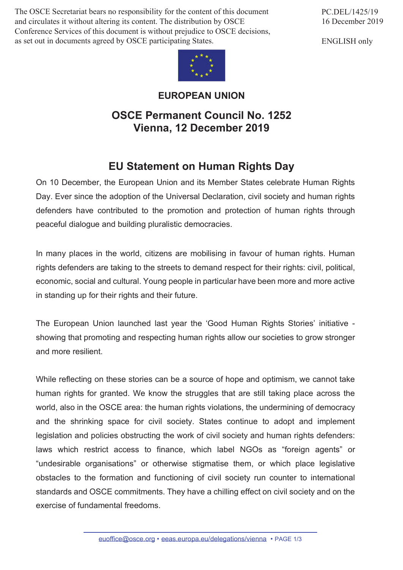The OSCE Secretariat bears no responsibility for the content of this document and circulates it without altering its content. The distribution by OSCE Conference Services of this document is without prejudice to OSCE decisions, as set out in documents agreed by OSCE participating States.

PC.DEL/1425/19 16 December 2019

ENGLISH only



**EUROPEAN UNION**

## **OSCE Permanent Council No. 1252 Vienna, 12 December 2019**

## **EU Statement on Human Rights Day**

On 10 December, the European Union and its Member States celebrate Human Rights Day. Ever since the adoption of the Universal Declaration, civil society and human rights defenders have contributed to the promotion and protection of human rights through peaceful dialogue and building pluralistic democracies.

In many places in the world, citizens are mobilising in favour of human rights. Human rights defenders are taking to the streets to demand respect for their rights: civil, political, economic, social and cultural. Young people in particular have been more and more active in standing up for their rights and their future.

The European Union launched last year the 'Good Human Rights Stories' initiative showing that promoting and respecting human rights allow our societies to grow stronger and more resilient.

While reflecting on these stories can be a source of hope and optimism, we cannot take human rights for granted. We know the struggles that are still taking place across the world, also in the OSCE area: the human rights violations, the undermining of democracy and the shrinking space for civil society. States continue to adopt and implement legislation and policies obstructing the work of civil society and human rights defenders: laws which restrict access to finance, which label NGOs as "foreign agents" or "undesirable organisations" or otherwise stigmatise them, or which place legislative obstacles to the formation and functioning of civil society run counter to international standards and OSCE commitments. They have a chilling effect on civil society and on the exercise of fundamental freedoms.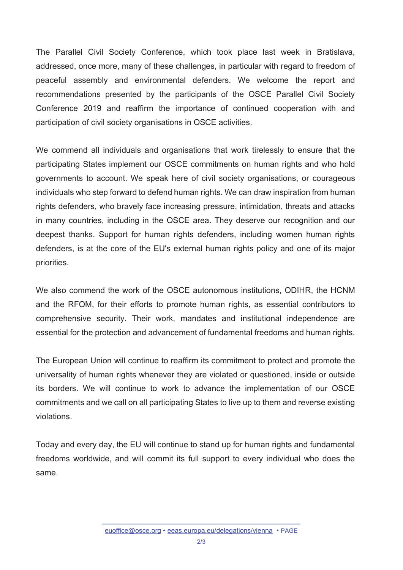The Parallel Civil Society Conference, which took place last week in Bratislava, addressed, once more, many of these challenges, in particular with regard to freedom of peaceful assembly and environmental defenders. We welcome the report and recommendations presented by the participants of the OSCE Parallel Civil Society Conference 2019 and reaffirm the importance of continued cooperation with and participation of civil society organisations in OSCE activities.

We commend all individuals and organisations that work tirelessly to ensure that the participating States implement our OSCE commitments on human rights and who hold governments to account. We speak here of civil society organisations, or courageous individuals who step forward to defend human rights. We can draw inspiration from human rights defenders, who bravely face increasing pressure, intimidation, threats and attacks in many countries, including in the OSCE area. They deserve our recognition and our deepest thanks. Support for human rights defenders, including women human rights defenders, is at the core of the EU's external human rights policy and one of its major priorities.

We also commend the work of the OSCE autonomous institutions, ODIHR, the HCNM and the RFOM, for their efforts to promote human rights, as essential contributors to comprehensive security. Their work, mandates and institutional independence are essential for the protection and advancement of fundamental freedoms and human rights.

The European Union will continue to reaffirm its commitment to protect and promote the universality of human rights whenever they are violated or questioned, inside or outside its borders. We will continue to work to advance the implementation of our OSCE commitments and we call on all participating States to live up to them and reverse existing violations.

Today and every day, the EU will continue to stand up for human rights and fundamental freedoms worldwide, and will commit its full support to every individual who does the same.